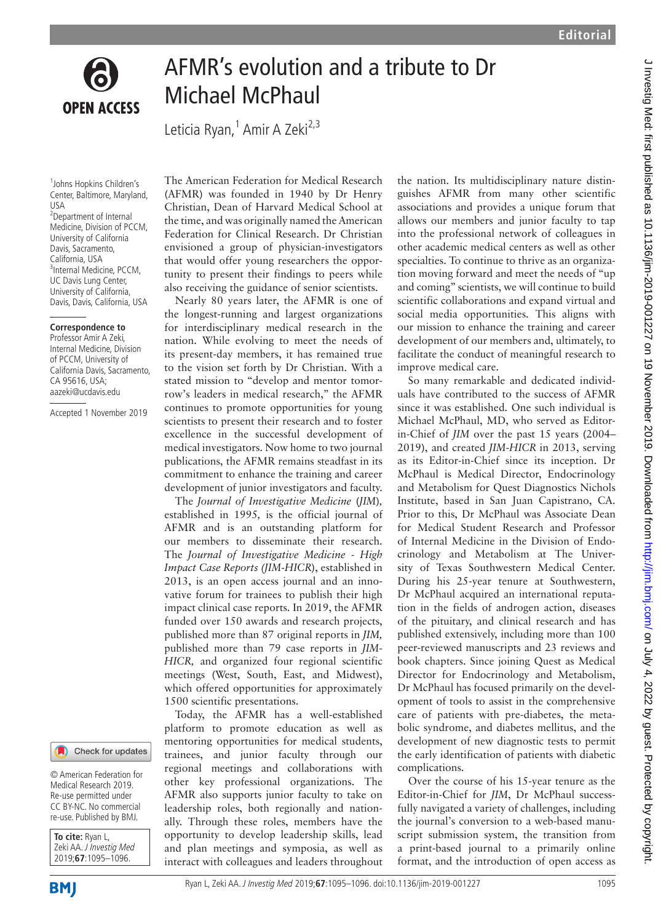

## AFMR's evolution and a tribute to Dr Michael McPhaul

Leticia Ryan,<sup>1</sup> Amir A Zeki<sup>2,3</sup>

1 Johns Hopkins Children's Center, Baltimore, Maryland, USA 2 Department of Internal Medicine, Division of PCCM, University of California Davis, Sacramento, California, USA 3 Internal Medicine, PCCM, UC Davis Lung Center, University of California, Davis, Davis, California, USA

## **Correspondence to**

Professor Amir A Zeki, Internal Medicine, Division of PCCM, University of California Davis, Sacramento, CA 95616, USA; aazeki@ucdavis.edu

Accepted 1 November 2019



© American Federation for Medical Research 2019. Re-use permitted under CC BY-NC. No commercial re-use. Published by BMJ.

| To cite: Ryan L,        |
|-------------------------|
| Zeki AA. J Investig Med |
| 2019:67:1095-1096.      |

**BMI** 

The American Federation for Medical Research (AFMR) was founded in 1940 by Dr Henry Christian, Dean of Harvard Medical School at the time, and was originally named the American Federation for Clinical Research. Dr Christian envisioned a group of physician-investigators that would offer young researchers the opportunity to present their findings to peers while also receiving the guidance of senior scientists.

Nearly 80 years later, the AFMR is one of the longest-running and largest organizations for interdisciplinary medical research in the nation. While evolving to meet the needs of its present-day members, it has remained true to the vision set forth by Dr Christian. With a stated mission to "develop and mentor tomorrow's leaders in medical research," the AFMR continues to promote opportunities for young scientists to present their research and to foster excellence in the successful development of medical investigators. Now home to two journal publications, the AFMR remains steadfast in its commitment to enhance the training and career development of junior investigators and faculty.

The *Journal of Investigative Medicine* (*JIM*)*,* established in 1995*,* is the official journal of AFMR and is an outstanding platform for our members to disseminate their research. The *Journal of Investigative Medicine - High Impact Case Reports (JIM-HICR*), established in 2013, is an open access journal and an innovative forum for trainees to publish their high impact clinical case reports. In 2019, the AFMR funded over 150 awards and research projects, published more than 87 original reports in *JIM,* published more than 79 case reports in *JIM-HICR,* and organized four regional scientific meetings (West, South, East, and Midwest), which offered opportunities for approximately 1500 scientific presentations.

Today, the AFMR has a well-established platform to promote education as well as mentoring opportunities for medical students, trainees, and junior faculty through our regional meetings and collaborations with other key professional organizations. The AFMR also supports junior faculty to take on leadership roles, both regionally and nationally. Through these roles, members have the opportunity to develop leadership skills, lead and plan meetings and symposia, as well as interact with colleagues and leaders throughout the nation. Its multidisciplinary nature distinguishes AFMR from many other scientific associations and provides a unique forum that allows our members and junior faculty to tap into the professional network of colleagues in other academic medical centers as well as other specialties. To continue to thrive as an organization moving forward and meet the needs of "up and coming" scientists, we will continue to build scientific collaborations and expand virtual and social media opportunities. This aligns with our mission to enhance the training and career development of our members and, ultimately, to facilitate the conduct of meaningful research to improve medical care.

So many remarkable and dedicated individuals have contributed to the success of AFMR since it was established. One such individual is Michael McPhaul, MD, who served as Editorin-Chief of *JIM* over the past 15 years (2004– 2019), and created *JIM-HICR* in 2013, serving as its Editor-in-Chief since its inception. Dr McPhaul is Medical Director, Endocrinology and Metabolism for Quest Diagnostics Nichols Institute, based in San Juan Capistrano, CA. Prior to this, Dr McPhaul was Associate Dean for Medical Student Research and Professor of Internal Medicine in the Division of Endocrinology and Metabolism at The University of Texas Southwestern Medical Center. During his 25-year tenure at Southwestern, Dr McPhaul acquired an international reputation in the fields of androgen action, diseases of the pituitary, and clinical research and has published extensively, including more than 100 peer-reviewed manuscripts and 23 reviews and book chapters. Since joining Quest as Medical Director for Endocrinology and Metabolism, Dr McPhaul has focused primarily on the development of tools to assist in the comprehensive care of patients with pre-diabetes, the metabolic syndrome, and diabetes mellitus, and the development of new diagnostic tests to permit the early identification of patients with diabetic complications.

Over the course of his 15-year tenure as the Editor-in-Chief for *JIM*, Dr McPhaul successfully navigated a variety of challenges, including the journal's conversion to a web-based manuscript submission system, the transition from a print-based journal to a primarily online format, and the introduction of open access as